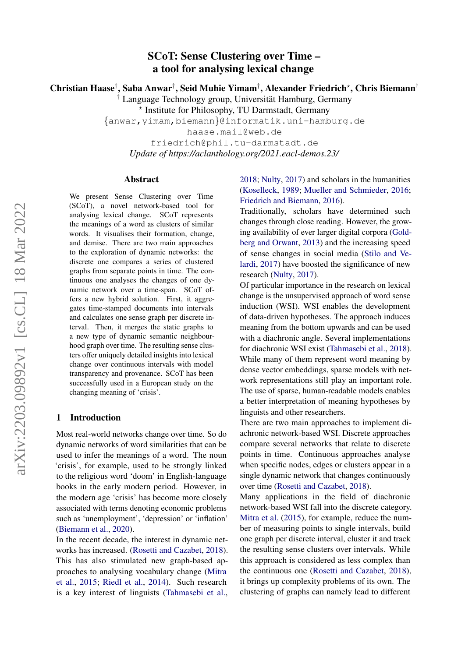# SCoT: Sense Clustering over Time – a tool for analysing lexical change

Christian Haase† , Saba Anwar† , Seid Muhie Yimam† , Alexander Friedrich? , Chris Biemann†

 $\dagger$  Language Technology group, Universität Hamburg, Germany

? Institute for Philosophy, TU Darmstadt, Germany

{anwar,yimam,biemann}@informatik.uni-hamburg.de

haase.mail@web.de

friedrich@phil.tu-darmstadt.de *Update of https://aclanthology.org/2021.eacl-demos.23/*

#### Abstract

We present Sense Clustering over Time (SCoT), a novel network-based tool for analysing lexical change. SCoT represents the meanings of a word as clusters of similar words. It visualises their formation, change, and demise. There are two main approaches to the exploration of dynamic networks: the discrete one compares a series of clustered graphs from separate points in time. The continuous one analyses the changes of one dynamic network over a time-span. SCoT offers a new hybrid solution. First, it aggregates time-stamped documents into intervals and calculates one sense graph per discrete interval. Then, it merges the static graphs to a new type of dynamic semantic neighbourhood graph over time. The resulting sense clusters offer uniquely detailed insights into lexical change over continuous intervals with model transparency and provenance. SCoT has been successfully used in a European study on the changing meaning of 'crisis'.

### 1 Introduction

Most real-world networks change over time. So do dynamic networks of word similarities that can be used to infer the meanings of a word. The noun 'crisis', for example, used to be strongly linked to the religious word 'doom' in English-language books in the early modern period. However, in the modern age 'crisis' has become more closely associated with terms denoting economic problems such as 'unemployment', 'depression' or 'inflation' [\(Biemann et al.,](#page-6-0) [2020\)](#page-6-0).

In the recent decade, the interest in dynamic networks has increased. [\(Rosetti and Cazabet,](#page-6-1) [2018\)](#page-6-1). This has also stimulated new graph-based approaches to analysing vocabulary change [\(Mitra](#page-6-2) [et al.,](#page-6-2) [2015;](#page-6-2) [Riedl et al.,](#page-6-3) [2014\)](#page-6-3). Such research is a key interest of linguists [\(Tahmasebi et al.,](#page-6-4) [2018;](#page-6-4) [Nulty,](#page-6-5) [2017\)](#page-6-5) and scholars in the humanities [\(Koselleck,](#page-6-6) [1989;](#page-6-6) [Mueller and Schmieder,](#page-6-7) [2016;](#page-6-7) [Friedrich and Biemann,](#page-6-8) [2016\)](#page-6-8).

Traditionally, scholars have determined such changes through close reading. However, the growing availability of ever larger digital corpora [\(Gold](#page-6-9)[berg and Orwant,](#page-6-9) [2013\)](#page-6-9) and the increasing speed of sense changes in social media [\(Stilo and Ve](#page-6-10)[lardi,](#page-6-10) [2017\)](#page-6-10) have boosted the significance of new research [\(Nulty,](#page-6-5) [2017\)](#page-6-5).

Of particular importance in the research on lexical change is the unsupervised approach of word sense induction (WSI). WSI enables the development of data-driven hypotheses. The approach induces meaning from the bottom upwards and can be used with a diachronic angle. Several implementations for diachronic WSI exist [\(Tahmasebi et al.,](#page-6-4) [2018\)](#page-6-4). While many of them represent word meaning by dense vector embeddings, sparse models with network representations still play an important role. The use of sparse, human-readable models enables a better interpretation of meaning hypotheses by linguists and other researchers.

There are two main approaches to implement diachronic network-based WSI. Discrete approaches compare several networks that relate to discrete points in time. Continuous approaches analyse when specific nodes, edges or clusters appear in a single dynamic network that changes continuously over time [\(Rosetti and Cazabet,](#page-6-1) [2018\)](#page-6-1).

Many applications in the field of diachronic network-based WSI fall into the discrete category. [Mitra et al.](#page-6-2) [\(2015\)](#page-6-2), for example, reduce the number of measuring points to single intervals, build one graph per discrete interval, cluster it and track the resulting sense clusters over intervals. While this approach is considered as less complex than the continuous one [\(Rosetti and Cazabet,](#page-6-1) [2018\)](#page-6-1), it brings up complexity problems of its own. The clustering of graphs can namely lead to different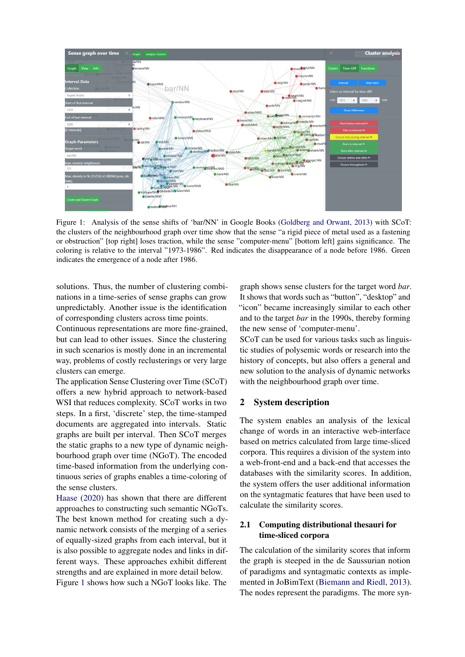<span id="page-1-0"></span>

Figure 1: Analysis of the sense shifts of 'bar/NN' in Google Books [\(Goldberg and Orwant,](#page-6-9) [2013\)](#page-6-9) with SCoT: the clusters of the neighbourhood graph over time show that the sense "a rigid piece of metal used as a fastening or obstruction" [top right] loses traction, while the sense "computer-menu" [bottom left] gains significance. The coloring is relative to the interval "1973-1986". Red indicates the disappearance of a node before 1986. Green indicates the emergence of a node after 1986.

solutions. Thus, the number of clustering combinations in a time-series of sense graphs can grow unpredictably. Another issue is the identification of corresponding clusters across time points.

Continuous representations are more fine-grained, but can lead to other issues. Since the clustering in such scenarios is mostly done in an incremental way, problems of costly reclusterings or very large clusters can emerge.

The application Sense Clustering over Time (SCoT) offers a new hybrid approach to network-based WSI that reduces complexity. SCoT works in two steps. In a first, 'discrete' step, the time-stamped documents are aggregated into intervals. Static graphs are built per interval. Then SCoT merges the static graphs to a new type of dynamic neighbourhood graph over time (NGoT). The encoded time-based information from the underlying continuous series of graphs enables a time-coloring of the sense clusters.

[Haase](#page-6-11) [\(2020\)](#page-6-11) has shown that there are different approaches to constructing such semantic NGoTs. The best known method for creating such a dynamic network consists of the merging of a series of equally-sized graphs from each interval, but it is also possible to aggregate nodes and links in different ways. These approaches exhibit different strengths and are explained in more detail below. Figure [1](#page-1-0) shows how such a NGoT looks like. The

graph shows sense clusters for the target word *bar*. It shows that words such as "button", "desktop" and "icon" became increasingly similar to each other and to the target *bar* in the 1990s, thereby forming the new sense of 'computer-menu'.

SCoT can be used for various tasks such as linguistic studies of polysemic words or research into the history of concepts, but also offers a general and new solution to the analysis of dynamic networks with the neighbourhood graph over time.

### 2 System description

The system enables an analysis of the lexical change of words in an interactive web-interface based on metrics calculated from large time-sliced corpora. This requires a division of the system into a web-front-end and a back-end that accesses the databases with the similarity scores. In addition, the system offers the user additional information on the syntagmatic features that have been used to calculate the similarity scores.

## 2.1 Computing distributional thesauri for time-sliced corpora

The calculation of the similarity scores that inform the graph is steeped in the de Saussurian notion of paradigms and syntagmatic contexts as implemented in JoBimText [\(Biemann and Riedl,](#page-6-12) [2013\)](#page-6-12). The nodes represent the paradigms. The more syn-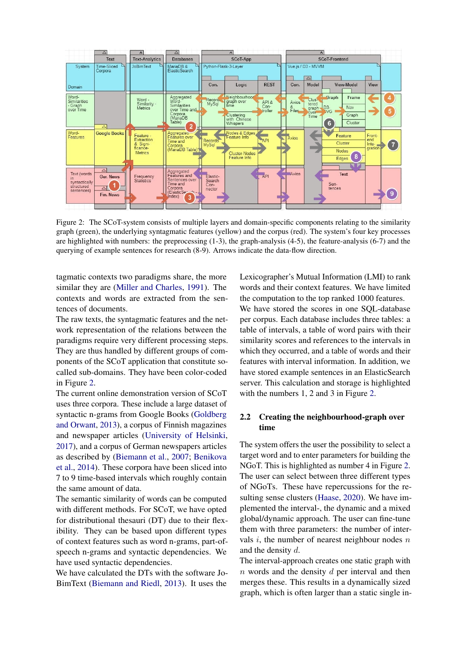<span id="page-2-0"></span>

Figure 2: The SCoT-system consists of multiple layers and domain-specific components relating to the similarity graph (green), the underlying syntagmatic features (yellow) and the corpus (red). The system's four key processes are highlighted with numbers: the preprocessing (1-3), the graph-analysis (4-5), the feature-analysis (6-7) and the querying of example sentences for research (8-9). Arrows indicate the data-flow direction.

tagmatic contexts two paradigms share, the more similar they are [\(Miller and Charles,](#page-6-13) [1991\)](#page-6-13). The contexts and words are extracted from the sentences of documents.

The raw texts, the syntagmatic features and the network representation of the relations between the paradigms require very different processing steps. They are thus handled by different groups of components of the SCoT application that constitute socalled sub-domains. They have been color-coded in Figure [2.](#page-2-0)

The current online demonstration version of SCoT uses three corpora. These include a large dataset of syntactic n-grams from Google Books [\(Goldberg](#page-6-9) [and Orwant,](#page-6-9) [2013\)](#page-6-9), a corpus of Finnish magazines and newspaper articles [\(University of Helsinki,](#page-6-14) [2017\)](#page-6-14), and a corpus of German newspapers articles as described by [\(Biemann et al.,](#page-6-15) [2007;](#page-6-15) [Benikova](#page-6-16) [et al.,](#page-6-16) [2014\)](#page-6-16). These corpora have been sliced into 7 to 9 time-based intervals which roughly contain the same amount of data.

The semantic similarity of words can be computed with different methods. For SCoT, we have opted for distributional thesauri (DT) due to their flexibility. They can be based upon different types of context features such as word n-grams, part-ofspeech n-grams and syntactic dependencies. We have used syntactic dependencies.

We have calculated the DTs with the software Jo-BimText [\(Biemann and Riedl,](#page-6-12) [2013\)](#page-6-12). It uses the

Lexicographer's Mutual Information (LMI) to rank words and their context features. We have limited the computation to the top ranked 1000 features. We have stored the scores in one SQL-database per corpus. Each database includes three tables: a table of intervals, a table of word pairs with their similarity scores and references to the intervals in which they occurred, and a table of words and their features with interval information. In addition, we have stored example sentences in an ElasticSearch server. This calculation and storage is highlighted with the numbers 1, 2 and 3 in Figure [2.](#page-2-0)

# 2.2 Creating the neighbourhood-graph over time

The system offers the user the possibility to select a target word and to enter parameters for building the NGoT. This is highlighted as number 4 in Figure [2.](#page-2-0) The user can select between three different types of NGoTs. These have repercussions for the resulting sense clusters [\(Haase,](#page-6-11) [2020\)](#page-6-11). We have implemented the interval-, the dynamic and a mixed global/dynamic approach. The user can fine-tune them with three parameters: the number of intervals  $i$ , the number of nearest neighbour nodes  $n$ and the density d.

The interval-approach creates one static graph with  $n$  words and the density  $d$  per interval and then merges these. This results in a dynamically sized graph, which is often larger than a static single in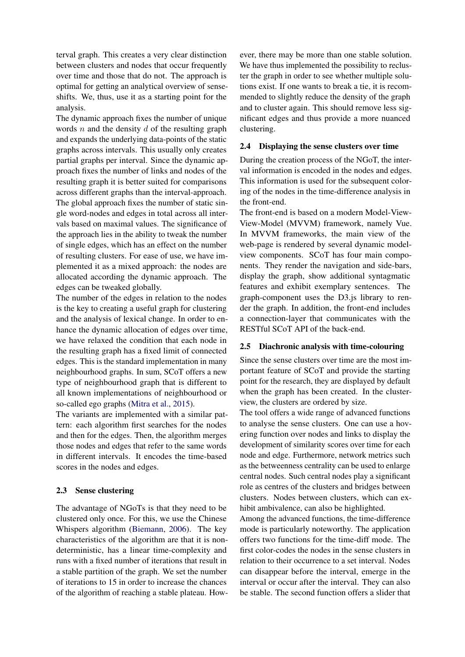terval graph. This creates a very clear distinction between clusters and nodes that occur frequently over time and those that do not. The approach is optimal for getting an analytical overview of senseshifts. We, thus, use it as a starting point for the analysis.

The dynamic approach fixes the number of unique words  $n$  and the density  $d$  of the resulting graph and expands the underlying data-points of the static graphs across intervals. This usually only creates partial graphs per interval. Since the dynamic approach fixes the number of links and nodes of the resulting graph it is better suited for comparisons across different graphs than the interval-approach. The global approach fixes the number of static single word-nodes and edges in total across all intervals based on maximal values. The significance of the approach lies in the ability to tweak the number of single edges, which has an effect on the number of resulting clusters. For ease of use, we have implemented it as a mixed approach: the nodes are allocated according the dynamic approach. The edges can be tweaked globally.

The number of the edges in relation to the nodes is the key to creating a useful graph for clustering and the analysis of lexical change. In order to enhance the dynamic allocation of edges over time, we have relaxed the condition that each node in the resulting graph has a fixed limit of connected edges. This is the standard implementation in many neighbourhood graphs. In sum, SCoT offers a new type of neighbourhood graph that is different to all known implementations of neighbourhood or so-called ego graphs [\(Mitra et al.,](#page-6-2) [2015\)](#page-6-2).

The variants are implemented with a similar pattern: each algorithm first searches for the nodes and then for the edges. Then, the algorithm merges those nodes and edges that refer to the same words in different intervals. It encodes the time-based scores in the nodes and edges.

### 2.3 Sense clustering

The advantage of NGoTs is that they need to be clustered only once. For this, we use the Chinese Whispers algorithm [\(Biemann,](#page-6-17) [2006\)](#page-6-17). The key characteristics of the algorithm are that it is nondeterministic, has a linear time-complexity and runs with a fixed number of iterations that result in a stable partition of the graph. We set the number of iterations to 15 in order to increase the chances of the algorithm of reaching a stable plateau. How-

ever, there may be more than one stable solution. We have thus implemented the possibility to recluster the graph in order to see whether multiple solutions exist. If one wants to break a tie, it is recommended to slightly reduce the density of the graph and to cluster again. This should remove less significant edges and thus provide a more nuanced clustering.

### 2.4 Displaying the sense clusters over time

During the creation process of the NGoT, the interval information is encoded in the nodes and edges. This information is used for the subsequent coloring of the nodes in the time-difference analysis in the front-end.

The front-end is based on a modern Model-View-View-Model (MVVM) framework, namely Vue. In MVVM frameworks, the main view of the web-page is rendered by several dynamic modelview components. SCoT has four main components. They render the navigation and side-bars, display the graph, show additional syntagmatic features and exhibit exemplary sentences. The graph-component uses the D3.js library to render the graph. In addition, the front-end includes a connection-layer that communicates with the RESTful SCoT API of the back-end.

### 2.5 Diachronic analysis with time-colouring

Since the sense clusters over time are the most important feature of SCoT and provide the starting point for the research, they are displayed by default when the graph has been created. In the clusterview, the clusters are ordered by size.

The tool offers a wide range of advanced functions to analyse the sense clusters. One can use a hovering function over nodes and links to display the development of similarity scores over time for each node and edge. Furthermore, network metrics such as the betweenness centrality can be used to enlarge central nodes. Such central nodes play a significant role as centres of the clusters and bridges between clusters. Nodes between clusters, which can exhibit ambivalence, can also be highlighted.

Among the advanced functions, the time-difference mode is particularly noteworthy. The application offers two functions for the time-diff mode. The first color-codes the nodes in the sense clusters in relation to their occurrence to a set interval. Nodes can disappear before the interval, emerge in the interval or occur after the interval. They can also be stable. The second function offers a slider that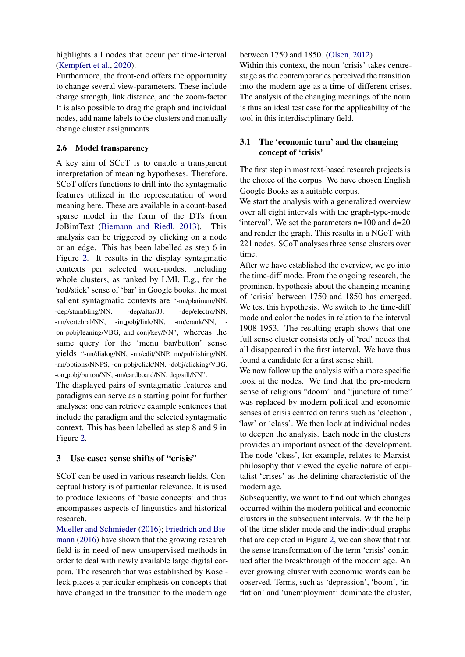highlights all nodes that occur per time-interval [\(Kempfert et al.,](#page-6-18) [2020\)](#page-6-18).

Furthermore, the front-end offers the opportunity to change several view-parameters. These include charge strength, link distance, and the zoom-factor. It is also possible to drag the graph and individual nodes, add name labels to the clusters and manually change cluster assignments.

### 2.6 Model transparency

A key aim of SCoT is to enable a transparent interpretation of meaning hypotheses. Therefore, SCoT offers functions to drill into the syntagmatic features utilized in the representation of word meaning here. These are available in a count-based sparse model in the form of the DTs from JoBimText [\(Biemann and Riedl,](#page-6-12) [2013\)](#page-6-12). This analysis can be triggered by clicking on a node or an edge. This has been labelled as step 6 in Figure [2.](#page-2-0) It results in the display syntagmatic contexts per selected word-nodes, including whole clusters, as ranked by LMI. E.g., for the 'rod/stick' sense of 'bar' in Google books, the most salient syntagmatic contexts are "-nn/platinum/NN, -dep/stumbling/NN, -dep/altar/JJ, -dep/electro/NN, -nn/vertebral/NN, -in\_pobj/link/NN, -nn/crank/NN, on pobj/leaning/VBG, and conj/key/NN", whereas the same query for the 'menu bar/button' sense yields "-nn/dialog/NN, -nn/edit/NNP, nn/publishing/NN, -nn/options/NNPS, -on pobj/click/NN, -dobj/clicking/VBG, -on pobj/button/NN, -nn/cardboard/NN, dep/sill/NN".

The displayed pairs of syntagmatic features and paradigms can serve as a starting point for further analyses: one can retrieve example sentences that include the paradigm and the selected syntagmatic context. This has been labelled as step 8 and 9 in Figure [2.](#page-2-0)

### 3 Use case: sense shifts of "crisis"

SCoT can be used in various research fields. Conceptual history is of particular relevance. It is used to produce lexicons of 'basic concepts' and thus encompasses aspects of linguistics and historical research.

[Mueller and Schmieder](#page-6-7) [\(2016\)](#page-6-7); [Friedrich and Bie](#page-6-8)[mann](#page-6-8) [\(2016\)](#page-6-8) have shown that the growing research field is in need of new unsupervised methods in order to deal with newly available large digital corpora. The research that was established by Koselleck places a particular emphasis on concepts that have changed in the transition to the modern age

#### between 1750 and 1850. [\(Olsen,](#page-6-19) [2012\)](#page-6-19)

Within this context, the noun 'crisis' takes centrestage as the contemporaries perceived the transition into the modern age as a time of different crises. The analysis of the changing meanings of the noun is thus an ideal test case for the applicability of the tool in this interdisciplinary field.

# 3.1 The 'economic turn' and the changing concept of 'crisis'

The first step in most text-based research projects is the choice of the corpus. We have chosen English Google Books as a suitable corpus.

We start the analysis with a generalized overview over all eight intervals with the graph-type-mode 'interval'. We set the parameters n=100 and d=20 and render the graph. This results in a NGoT with 221 nodes. SCoT analyses three sense clusters over time.

After we have established the overview, we go into the time-diff mode. From the ongoing research, the prominent hypothesis about the changing meaning of 'crisis' between 1750 and 1850 has emerged. We test this hypothesis. We switch to the time-diff mode and color the nodes in relation to the interval 1908-1953. The resulting graph shows that one full sense cluster consists only of 'red' nodes that all disappeared in the first interval. We have thus found a candidate for a first sense shift.

We now follow up the analysis with a more specific look at the nodes. We find that the pre-modern sense of religious "doom" and "juncture of time" was replaced by modern political and economic senses of crisis centred on terms such as 'election', 'law' or 'class'. We then look at individual nodes to deepen the analysis. Each node in the clusters provides an important aspect of the development. The node 'class', for example, relates to Marxist philosophy that viewed the cyclic nature of capitalist 'crises' as the defining characteristic of the modern age.

Subsequently, we want to find out which changes occurred within the modern political and economic clusters in the subsequent intervals. With the help of the time-slider-mode and the individual graphs that are depicted in Figure [2,](#page-2-0) we can show that that the sense transformation of the term 'crisis' continued after the breakthrough of the modern age. An ever growing cluster with economic words can be observed. Terms, such as 'depression', 'boom', 'inflation' and 'unemployment' dominate the cluster,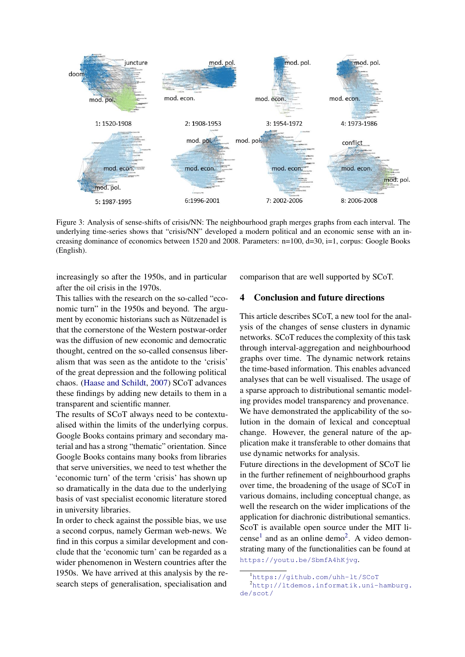

Figure 3: Analysis of sense-shifts of crisis/NN: The neighbourhood graph merges graphs from each interval. The underlying time-series shows that "crisis/NN" developed a modern political and an economic sense with an increasing dominance of economics between 1520 and 2008. Parameters: n=100, d=30, i=1, corpus: Google Books (English).

increasingly so after the 1950s, and in particular after the oil crisis in the 1970s.

This tallies with the research on the so-called "economic turn" in the 1950s and beyond. The argument by economic historians such as Nützenadel is that the cornerstone of the Western postwar-order was the diffusion of new economic and democratic thought, centred on the so-called consensus liberalism that was seen as the antidote to the 'crisis' of the great depression and the following political chaos. [\(Haase and Schildt,](#page-6-20) [2007\)](#page-6-20) SCoT advances these findings by adding new details to them in a transparent and scientific manner.

The results of SCoT always need to be contextualised within the limits of the underlying corpus. Google Books contains primary and secondary material and has a strong "thematic" orientation. Since Google Books contains many books from libraries that serve universities, we need to test whether the 'economic turn' of the term 'crisis' has shown up so dramatically in the data due to the underlying basis of vast specialist economic literature stored in university libraries.

In order to check against the possible bias, we use a second corpus, namely German web-news. We find in this corpus a similar development and conclude that the 'economic turn' can be regarded as a wider phenomenon in Western countries after the 1950s. We have arrived at this analysis by the research steps of generalisation, specialisation and

comparison that are well supported by SCoT.

# 4 Conclusion and future directions

This article describes SCoT, a new tool for the analysis of the changes of sense clusters in dynamic networks. SCoT reduces the complexity of this task through interval-aggregation and neighbourhood graphs over time. The dynamic network retains the time-based information. This enables advanced analyses that can be well visualised. The usage of a sparse approach to distributional semantic modeling provides model transparency and provenance. We have demonstrated the applicability of the solution in the domain of lexical and conceptual change. However, the general nature of the application make it transferable to other domains that use dynamic networks for analysis.

Future directions in the development of SCoT lie in the further refinement of neighbourhood graphs over time, the broadening of the usage of SCoT in various domains, including conceptual change, as well the research on the wider implications of the application for diachronic distributional semantics. ScoT is available open source under the MIT li-cense<sup>[1](#page-5-0)</sup> and as an online demo<sup>[2](#page-5-1)</sup>. A video demonstrating many of the functionalities can be found at <https://youtu.be/SbmfA4hKjvg>.

<span id="page-5-1"></span><span id="page-5-0"></span><sup>1</sup><https://github.com/uhh-lt/SCoT>

<sup>2</sup>[http://ltdemos.informatik.uni-hamburg.](http://ltdemos.informatik.uni-hamburg.de/scot/) [de/scot/](http://ltdemos.informatik.uni-hamburg.de/scot/)